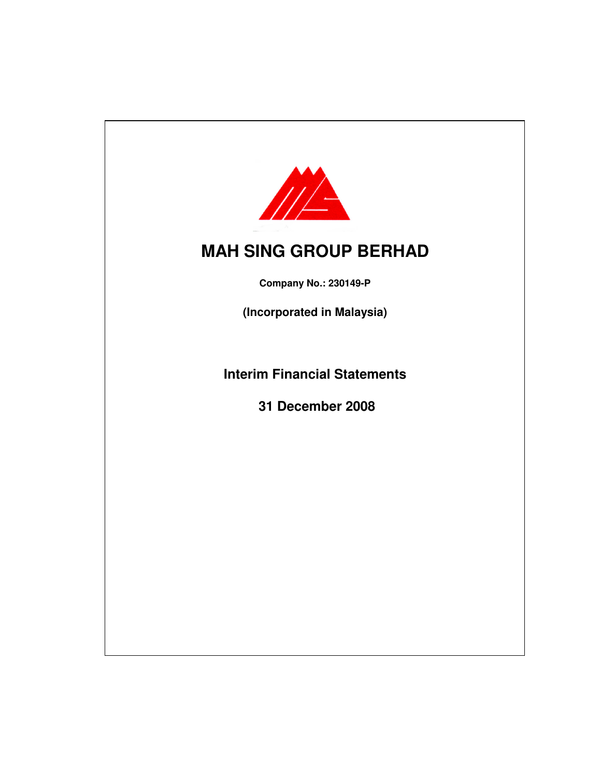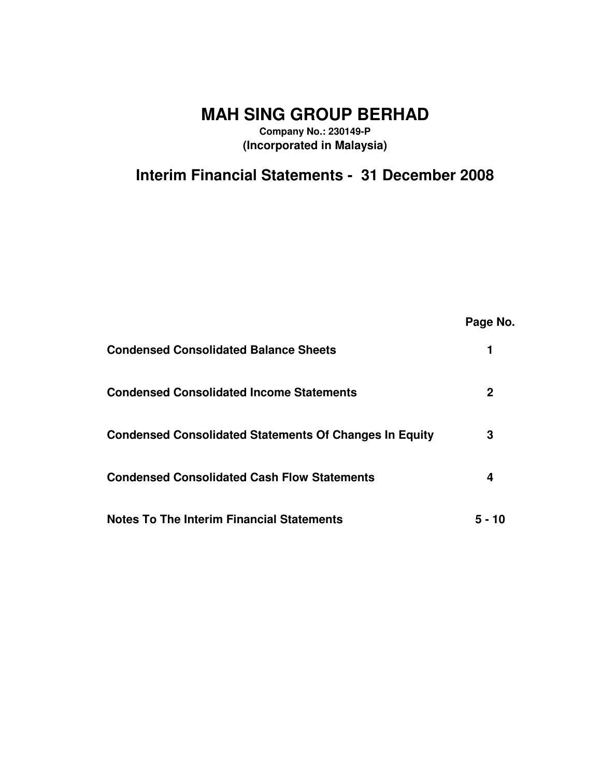# **MAH SING GROUP BERHAD**

**Company No.: 230149-P (Incorporated in Malaysia)**

**Interim Financial Statements - 31 December 2008**

|                                                               | Page No. |
|---------------------------------------------------------------|----------|
| <b>Condensed Consolidated Balance Sheets</b>                  |          |
| <b>Condensed Consolidated Income Statements</b>               | 2        |
| <b>Condensed Consolidated Statements Of Changes In Equity</b> | 3        |
| <b>Condensed Consolidated Cash Flow Statements</b>            | 4        |
| <b>Notes To The Interim Financial Statements</b>              | 5 - 10   |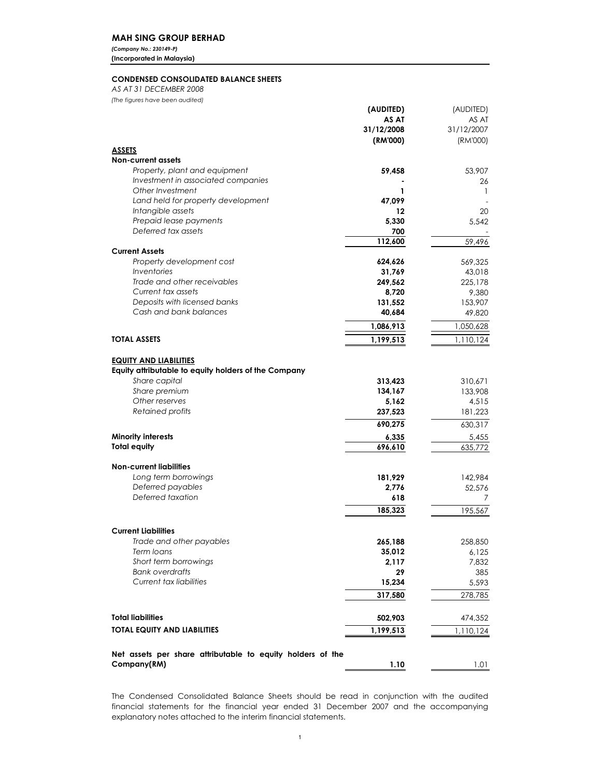## MAH SING GROUP BERHAD

(Company No.: 230149-P) (Incorporated in Malaysia)

### CONDENSED CONSOLIDATED BALANCE SHEETS

AS AT 31 DECEMBER 2008

(The figures have been audited)

|                                                                                                        | (AUDITED)  | (AUDITED)  |
|--------------------------------------------------------------------------------------------------------|------------|------------|
|                                                                                                        | AS AT      | AS AT      |
|                                                                                                        | 31/12/2008 | 31/12/2007 |
|                                                                                                        | (RM'000)   | (RM'000)   |
| <b>ASSETS</b>                                                                                          |            |            |
| <b>Non-current assets</b>                                                                              |            |            |
| Property, plant and equipment                                                                          | 59,458     | 53,907     |
| Investment in associated companies                                                                     |            | 26         |
| Other Investment                                                                                       | 1          | 1          |
| Land held for property development                                                                     | 47,099     |            |
| Intangible assets                                                                                      | 12         | 20         |
| Prepaid lease payments                                                                                 | 5,330      | 5,542      |
| Deferred tax assets                                                                                    | 700        |            |
|                                                                                                        | 112,600    | 59,496     |
| <b>Current Assets</b>                                                                                  |            |            |
| Property development cost                                                                              | 624,626    | 569,325    |
| Inventories                                                                                            | 31,769     | 43,018     |
| Trade and other receivables                                                                            | 249,562    | 225,178    |
| Current tax assets                                                                                     | 8,720      | 9,380      |
| Deposits with licensed banks                                                                           | 131,552    | 153,907    |
| Cash and bank balances                                                                                 | 40,684     | 49,820     |
|                                                                                                        | 1,086,913  | 1,050,628  |
|                                                                                                        |            |            |
| <b>TOTAL ASSETS</b>                                                                                    | 1,199,513  | 1,110,124  |
| <b>EQUITY AND LIABILITIES</b><br>Equity attributable to equity holders of the Company<br>Share capital | 313,423    | 310,671    |
| Share premium                                                                                          | 134,167    | 133,908    |
| Other reserves                                                                                         | 5,162      | 4,515      |
| Retained profits                                                                                       | 237,523    | 181,223    |
|                                                                                                        |            |            |
|                                                                                                        | 690,275    | 630,317    |
| <b>Minority interests</b>                                                                              | 6,335      | 5,455      |
| <b>Total equity</b>                                                                                    | 696,610    | 635,772    |
|                                                                                                        |            |            |
| <b>Non-current liabilities</b>                                                                         |            |            |
| Long term borrowings                                                                                   | 181,929    | 142,984    |
| Deferred payables                                                                                      | 2,776      | 52,576     |
| Deferred taxation                                                                                      | 618        | 7          |
|                                                                                                        | 185,323    | 195,567    |
|                                                                                                        |            |            |
| <b>Current Liabilities</b>                                                                             |            |            |
| Trade and other payables                                                                               | 265,188    | 258,850    |
| Term loans                                                                                             | 35,012     | 6,125      |
| Short term borrowings                                                                                  | 2,117      | 7,832      |
| <b>Bank overdrafts</b>                                                                                 | 29         | 385        |
| Current tax liabilities                                                                                | 15,234     | 5,593      |
|                                                                                                        | 317,580    | 278,785    |
|                                                                                                        |            |            |
| <b>Total liabilities</b>                                                                               | 502,903    | 474,352    |
| <b>TOTAL EQUITY AND LIABILITIES</b>                                                                    | 1,199,513  | 1,110,124  |
|                                                                                                        |            |            |
|                                                                                                        |            |            |
| Net assets per share attributable to equity holders of the                                             |            |            |
| Company(RM)                                                                                            | 1.10       | 1.01       |

The Condensed Consolidated Balance Sheets should be read in conjunction with the audited financial statements for the financial year ended 31 December 2007 and the accompanying explanatory notes attached to the interim financial statements.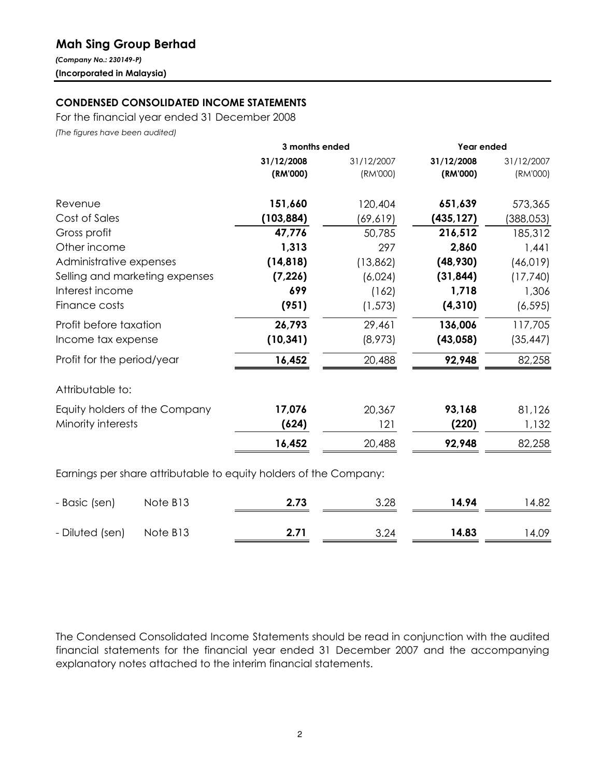# Mah Sing Group Berhad

(Company No.: 230149-P) (Incorporated in Malaysia)

# CONDENSED CONSOLIDATED INCOME STATEMENTS

For the financial year ended 31 December 2008

(The figures have been audited)

|                                                                   | 3 months ended |            | Year ended |            |
|-------------------------------------------------------------------|----------------|------------|------------|------------|
|                                                                   | 31/12/2008     | 31/12/2007 | 31/12/2008 | 31/12/2007 |
|                                                                   | (RM'000)       | (RM'000)   | (RM'000)   | (RM'000)   |
| Revenue                                                           | 151,660        | 120,404    | 651,639    | 573,365    |
| Cost of Sales                                                     | (103, 884)     | (69,619)   | (435, 127) | (388, 053) |
| Gross profit                                                      | 47,776         | 50,785     | 216,512    | 185,312    |
| Other income                                                      | 1,313          | 297        | 2,860      | 1,441      |
| Administrative expenses                                           | (14, 818)      | (13, 862)  | (48, 930)  | (46, 019)  |
| Selling and marketing expenses                                    | (7, 226)       | (6,024)    | (31, 844)  | (17,740)   |
| Interest income                                                   | 699            | (162)      | 1,718      | 1,306      |
| Finance costs                                                     | (951)          | (1, 573)   | (4, 310)   | (6, 595)   |
| Profit before taxation                                            | 26,793         | 29,461     | 136,006    | 117,705    |
| Income tax expense                                                | (10, 341)      | (8,973)    | (43,058)   | (35, 447)  |
| Profit for the period/year                                        | 16,452         | 20,488     | 92,948     | 82,258     |
| Attributable to:                                                  |                |            |            |            |
| Equity holders of the Company                                     | 17,076         | 20,367     | 93,168     | 81,126     |
| Minority interests                                                | (624)          | 121        | (220)      | 1,132      |
|                                                                   | 16,452         | 20,488     | 92,948     | 82,258     |
| Earnings per share attributable to equity holders of the Company: |                |            |            |            |

| - Basic (sen)            | Note B13 | 2.73 | 3.28 | 14.94 | 14.82 |
|--------------------------|----------|------|------|-------|-------|
| - Diluted (sen) Note B13 |          | 2.71 | 3.24 | 14.83 | 14.09 |

The Condensed Consolidated Income Statements should be read in conjunction with the audited financial statements for the financial year ended 31 December 2007 and the accompanying explanatory notes attached to the interim financial statements.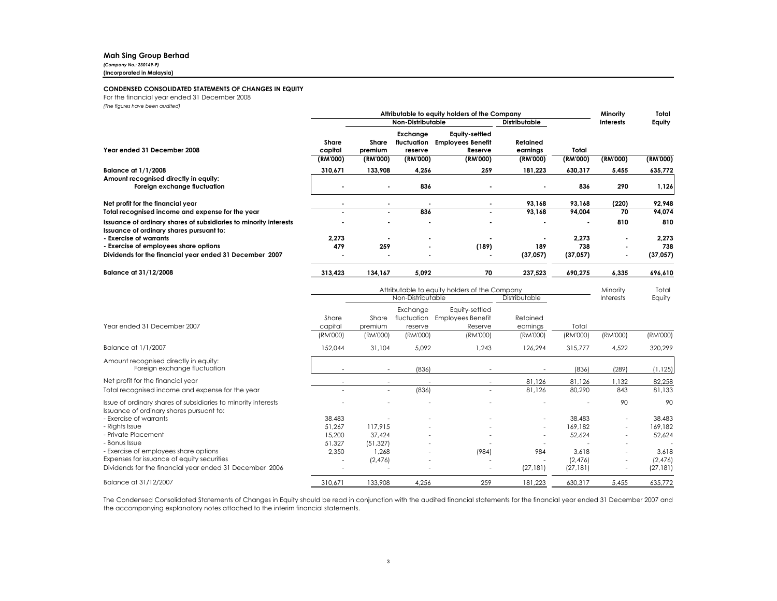### Mah Sing Group Berhad

(Company No.: 230149-P)

### (Incorporated in Malaysia)

### CONDENSED CONSOLIDATED STATEMENTS OF CHANGES IN EQUITY

Dividends for the financial year ended 31 December 2006

For the financial year ended 31 December 2008

(The figures have been audited)

|                                                                                                               | Attributable to equity holders of the Company |                  |                         |                                                                   | Minority             | Total     |                  |           |
|---------------------------------------------------------------------------------------------------------------|-----------------------------------------------|------------------|-------------------------|-------------------------------------------------------------------|----------------------|-----------|------------------|-----------|
|                                                                                                               |                                               |                  | Non-Distributable       |                                                                   | <b>Distributable</b> |           | <b>Interests</b> | Equity    |
| Year ended 31 December 2008                                                                                   | <b>Share</b><br>capital                       | Share<br>premium | Exchange<br>reserve     | <b>Equity-settled</b><br>fluctuation Employees Benefit<br>Reserve | Retained<br>earnings | Total     |                  |           |
|                                                                                                               | (RM'000)                                      | (RM'000)         | (RM'000)                | (RM'000)                                                          | (RM'000)             | (RM'000)  | (RM'000)         | (RM'000)  |
| <b>Balance at 1/1/2008</b>                                                                                    | 310,671                                       | 133,908          | 4,256                   | 259                                                               | 181,223              | 630,317   | 5,455            | 635,772   |
| Amount recognised directly in equity:<br>Foreign exchange fluctuation                                         |                                               |                  | 836                     |                                                                   |                      | 836       | 290              | 1,126     |
| Net profit for the financial year                                                                             |                                               |                  |                         |                                                                   | 93,168               | 93,168    | (220)            | 92,948    |
| Total recognised income and expense for the year                                                              |                                               |                  | 836                     |                                                                   | 93,168               | 94,004    | 70               | 94,074    |
| Issuance of ordinary shares of subsidiaries to minority interests<br>Issuance of ordinary shares pursuant to: |                                               |                  |                         |                                                                   |                      |           | 810              | 810       |
| - Exercise of warrants                                                                                        | 2.273                                         |                  |                         |                                                                   |                      | 2,273     |                  | 2,273     |
| - Exercise of employees share options                                                                         | 479                                           | 259              |                         | (189)                                                             | 189                  | 738       |                  | 738       |
| Dividends for the financial year ended 31 December 2007                                                       |                                               |                  |                         |                                                                   | (37,057)             | (37, 057) |                  | (37, 057) |
| Balance at 31/12/2008                                                                                         | 313,423                                       | 134,167          | 5,092                   | 70                                                                | 237,523              | 690,275   | 6,335            | 696,610   |
|                                                                                                               | Attributable to equity holders of the Company |                  |                         |                                                                   |                      |           | Minority         | Total     |
|                                                                                                               |                                               |                  | Non-Distributable       |                                                                   | Distributable        |           | Interests        | Equity    |
|                                                                                                               | Share                                         | Share            | Exchange<br>fluctuation | Equity-settled<br><b>Employees Benefit</b>                        | Retained             |           |                  |           |
| Year ended 31 December 2007                                                                                   | capital                                       | premium          | reserve                 | Reserve                                                           | earnings             | Total     |                  |           |
|                                                                                                               | (RM'000)                                      | (RM'000)         | (RM'000)                | (RM'000)                                                          | (RM'000)             | (RM'000)  | (RM'000)         | (RM'000)  |
| Balance at 1/1/2007                                                                                           | 152,044                                       | 31,104           | 5,092                   | 1,243                                                             | 126,294              | 315,777   | 4,522            | 320,299   |
| Amount recognised directly in equity:<br>Foreign exchange fluctuation                                         |                                               |                  | (836)                   |                                                                   |                      | (836)     | (289)            | (1, 125)  |
| Net profit for the financial year                                                                             |                                               |                  |                         |                                                                   | 81.126               | 81,126    | 1.132            | 82,258    |
| Total recognised income and expense for the year                                                              |                                               |                  | (836)                   |                                                                   | 81,126               | 80,290    | 843              | 81,133    |
| Issue of ordinary shares of subsidiaries to minority interests<br>Issuance of ordinary shares pursuant to:    |                                               |                  |                         |                                                                   |                      |           | 90               | 90        |
| <b>Exercise of warrants</b>                                                                                   | 38,483                                        |                  |                         |                                                                   |                      | 38,483    |                  | 38,483    |
| Rights Issue                                                                                                  | 51,267                                        | 117,915          |                         |                                                                   |                      | 169.182   |                  | 169,182   |
| <b>Private Placement</b>                                                                                      | 15,200                                        | 37,424           |                         |                                                                   |                      | 52,624    |                  | 52,624    |
| Bonus Issue                                                                                                   | 51,327                                        | (51, 327)        |                         |                                                                   |                      |           |                  |           |
| Exercise of employees share options<br>Expenses for issuance of equity securities                             | 2,350                                         | 1,268            |                         | (984)                                                             | 984                  | 3,618     |                  | 3,618     |
|                                                                                                               |                                               | (2,476)          |                         |                                                                   |                      | (2, 476)  |                  | (2,476)   |

The Condensed Consolidated Statements of Changes in Equity should be read in conjunction with the audited financial statements for the financial year ended <sup>31</sup> December <sup>2007</sup> and the accompanying explanatory notes attached to the interim financial statements.

Balance at 31/12/2007 **310,671** 133,908 4,256 259 181,223 630,317 5,455 635,772

- - - - - - - - - (27,181) (27,181) - (27,181)

 $(27, 181)$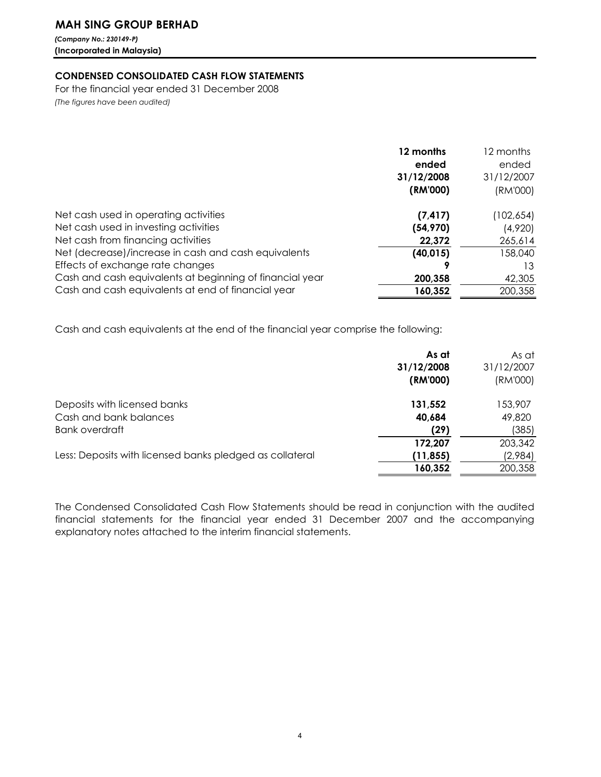# MAH SING GROUP BERHAD

(Company No.: 230149-P) (Incorporated in Malaysia)

## CONDENSED CONSOLIDATED CASH FLOW STATEMENTS

For the financial year ended 31 December 2008 (The figures have been audited)

|                                                          | 12 months<br>ended<br>31/12/2008<br>(RM'000) | 12 months<br>ended<br>31/12/2007<br>(RM'000) |
|----------------------------------------------------------|----------------------------------------------|----------------------------------------------|
| Net cash used in operating activities                    | (7, 417)                                     | (102,654)                                    |
| Net cash used in investing activities                    | (54, 970)                                    | (4,920)                                      |
| Net cash from financing activities                       | 22,372                                       | 265,614                                      |
| Net (decrease)/increase in cash and cash equivalents     | (40, 015)                                    | 158,040                                      |
| Effects of exchange rate changes                         | g                                            | 13                                           |
| Cash and cash equivalents at beginning of financial year | 200,358                                      | 42,305                                       |
| Cash and cash equivalents at end of financial year       | 160,352                                      | 200,358                                      |

Cash and cash equivalents at the end of the financial year comprise the following:

|                                                          | As at      | As at      |
|----------------------------------------------------------|------------|------------|
|                                                          | 31/12/2008 | 31/12/2007 |
|                                                          | (RM'000)   | (RM'000)   |
| Deposits with licensed banks                             | 131,552    | 153,907    |
| Cash and bank balances                                   | 40,684     | 49,820     |
| Bank overdraft                                           | (29)       | (385)      |
|                                                          | 172,207    | 203,342    |
| Less: Deposits with licensed banks pledged as collateral | (11, 855)  | (2,984)    |
|                                                          | 160,352    | 200,358    |

The Condensed Consolidated Cash Flow Statements should be read in conjunction with the audited financial statements for the financial year ended 31 December 2007 and the accompanying explanatory notes attached to the interim financial statements.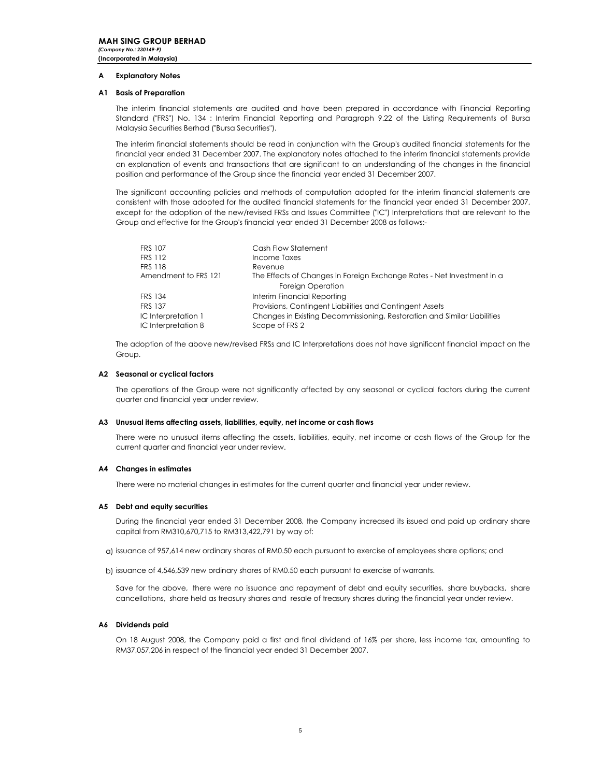### A Explanatory Notes

### A1 Basis of Preparation

The interim financial statements are audited and have been prepared in accordance with Financial Reporting Standard ("FRS") No. 134 : Interim Financial Reporting and Paragraph 9.22 of the Listing Requirements of Bursa Malaysia Securities Berhad ("Bursa Securities").

The interim financial statements should be read in conjunction with the Group's audited financial statements for the financial year ended 31 December 2007. The explanatory notes attached to the interim financial statements provide an explanation of events and transactions that are significant to an understanding of the changes in the financial position and performance of the Group since the financial year ended 31 December 2007.

The significant accounting policies and methods of computation adopted for the interim financial statements are consistent with those adopted for the audited financial statements for the financial year ended 31 December 2007, except for the adoption of the new/revised FRSs and Issues Committee ("IC") Interpretations that are relevant to the Group and effective for the Group's financial year ended 31 December 2008 as follows:-

| Cash Flow Statement                                                      |
|--------------------------------------------------------------------------|
| Income Taxes                                                             |
| Revenue                                                                  |
| The Effects of Changes in Foreign Exchange Rates - Net Investment in a   |
| Foreign Operation                                                        |
| Interim Financial Reporting                                              |
| Provisions, Contingent Liabilities and Contingent Assets                 |
| Changes in Existing Decommissioning, Restoration and Similar Liabilities |
| Scope of FRS 2                                                           |
|                                                                          |

The adoption of the above new/revised FRSs and IC Interpretations does not have significant financial impact on the Group.

### A2 Seasonal or cyclical factors

The operations of the Group were not significantly affected by any seasonal or cyclical factors during the current quarter and financial year under review.

### A3 Unusual items affecting assets, liabilities, equity, net income or cash flows

There were no unusual items affecting the assets, liabilities, equity, net income or cash flows of the Group for the current quarter and financial year under review.

### A4 Changes in estimates

There were no material changes in estimates for the current quarter and financial year under review.

### A5 Debt and equity securities

During the financial year ended 31 December 2008, the Company increased its issued and paid up ordinary share capital from RM310,670,715 to RM313,422,791 by way of:

- a) issuance of 957,614 new ordinary shares of RM0.50 each pursuant to exercise of employees share options; and
- b) issuance of 4,546,539 new ordinary shares of RM0.50 each pursuant to exercise of warrants.

Save for the above, there were no issuance and repayment of debt and equity securities, share buybacks, share cancellations, share held as treasury shares and resale of treasury shares during the financial year under review.

### A6 Dividends paid

On 18 August 2008, the Company paid a first and final dividend of 16% per share, less income tax, amounting to RM37,057,206 in respect of the financial year ended 31 December 2007.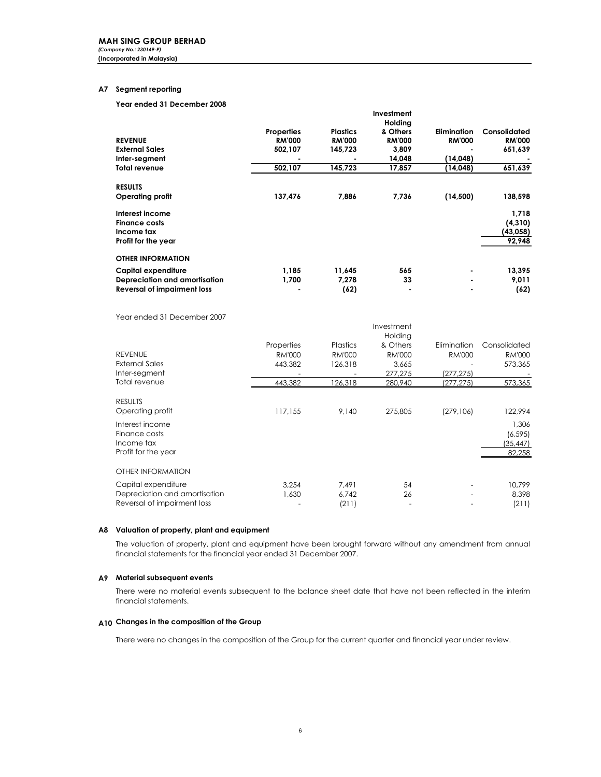### A7 Segment reporting

Year ended 31 December 2008

| <b>REVENUE</b><br><b>External Sales</b><br>Inter-segment                                   | <b>Properties</b><br><b>RM'000</b><br>502,107 | <b>Plastics</b><br><b>RM'000</b><br>145,723 | Investment<br>Holding<br>& Others<br><b>RM'000</b><br>3,809<br>14,048 | <b>Elimination</b><br><b>RM'000</b><br>(14,048) | Consolidated<br><b>RM'000</b><br>651,639 |
|--------------------------------------------------------------------------------------------|-----------------------------------------------|---------------------------------------------|-----------------------------------------------------------------------|-------------------------------------------------|------------------------------------------|
| Total revenue                                                                              | 502,107                                       | 145,723                                     | 17,857                                                                | (14,048)                                        | 651,639                                  |
| <b>RESULTS</b><br><b>Operating profit</b>                                                  | 137,476                                       | 7,886                                       | 7,736                                                                 | (14, 500)                                       | 138,598                                  |
| Interest income<br><b>Finance costs</b><br>Income tax<br>Profit for the year               |                                               |                                             |                                                                       |                                                 | 1,718<br>(4, 310)<br>(43,058)<br>92,948  |
| <b>OTHER INFORMATION</b>                                                                   |                                               |                                             |                                                                       |                                                 |                                          |
| Capital expenditure<br>Depreciation and amortisation<br><b>Reversal of impairment loss</b> | 1,185<br>1,700                                | 11,645<br>7.278<br>(62)                     | 565<br>33                                                             |                                                 | 13,395<br>9,011<br>(62)                  |

Year ended 31 December 2007

|                                                                                     |                |                         | Investment<br>Holding |               |                                          |
|-------------------------------------------------------------------------------------|----------------|-------------------------|-----------------------|---------------|------------------------------------------|
|                                                                                     | Properties     | <b>Plastics</b>         | & Others              | Elimination   | Consolidated                             |
| <b>REVENUE</b>                                                                      | <b>RM'000</b>  | <b>RM'000</b>           | <b>RM'000</b>         | <b>RM'000</b> | <b>RM'000</b>                            |
| <b>External Sales</b>                                                               | 443.382        | 126,318                 | 3,665                 |               | 573,365                                  |
| Inter-segment                                                                       |                |                         | 277,275               | (277,275)     |                                          |
| Total revenue                                                                       | 443,382        | 126,318                 | 280,940               | (277,275)     | 573,365                                  |
| <b>RESULTS</b><br>Operating profit                                                  | 117,155        | 9,140                   | 275,805               | (279, 106)    | 122,994                                  |
| Interest income<br>Finance costs<br>Income tax<br>Profit for the year               |                |                         |                       |               | 1,306<br>(6, 595)<br>(35, 447)<br>82,258 |
| OTHER INFORMATION                                                                   |                |                         |                       |               |                                          |
| Capital expenditure<br>Depreciation and amortisation<br>Reversal of impairment loss | 3.254<br>1,630 | 7.491<br>6,742<br>(211) | 54<br>26              |               | 10.799<br>8,398<br>(211)                 |

### A8 Valuation of property, plant and equipment

The valuation of property, plant and equipment have been brought forward without any amendment from annual financial statements for the financial year ended 31 December 2007.

### A9 Material subsequent events

There were no material events subsequent to the balance sheet date that have not been reflected in the interim financial statements.

### A10 Changes in the composition of the Group

There were no changes in the composition of the Group for the current quarter and financial year under review.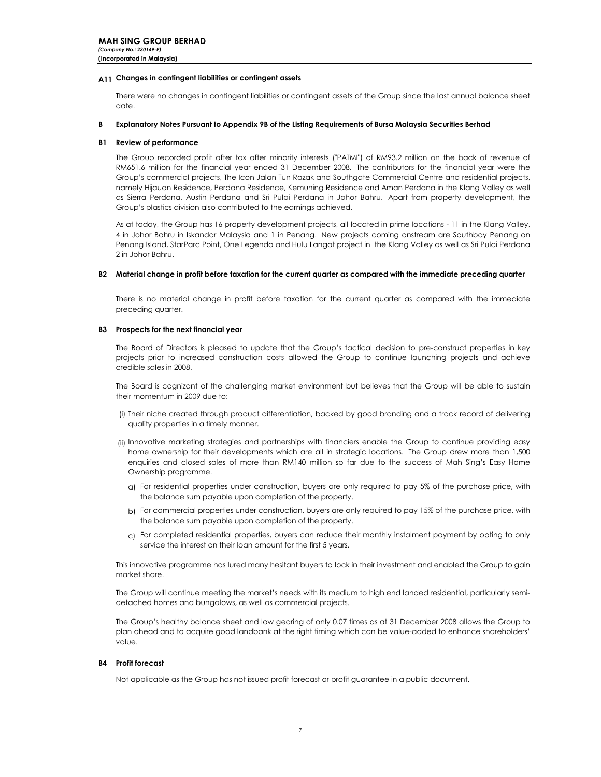### A11 Changes in contingent liabilities or contingent assets

There were no changes in contingent liabilities or contingent assets of the Group since the last annual balance sheet date.

#### B Explanatory Notes Pursuant to Appendix 9B of the Listing Requirements of Bursa Malaysia Securities Berhad

### B1 Review of performance

The Group recorded profit after tax after minority interests ("PATMI") of RM93.2 million on the back of revenue of RM651.6 million for the financial year ended 31 December 2008. The contributors for the financial year were the Group's commercial projects, The Icon Jalan Tun Razak and Southgate Commercial Centre and residential projects, namely Hijauan Residence, Perdana Residence, Kemuning Residence and Aman Perdana in the Klang Valley as well as Sierra Perdana, Austin Perdana and Sri Pulai Perdana in Johor Bahru. Apart from property development, the Group's plastics division also contributed to the earnings achieved.

As at today, the Group has 16 property development projects, all located in prime locations - 11 in the Klang Valley, 4 in Johor Bahru in Iskandar Malaysia and 1 in Penang. New projects coming onstream are Southbay Penang on Penang Island, StarParc Point, One Legenda and Hulu Langat project in the Klang Valley as well as Sri Pulai Perdana 2 in Johor Bahru.

### B2 Material change in profit before taxation for the current quarter as compared with the immediate preceding quarter

There is no material change in profit before taxation for the current quarter as compared with the immediate preceding quarter.

### B3 Prospects for the next financial year

The Board of Directors is pleased to update that the Group's tactical decision to pre-construct properties in key projects prior to increased construction costs allowed the Group to continue launching projects and achieve credible sales in 2008.

The Board is cognizant of the challenging market environment but believes that the Group will be able to sustain their momentum in 2009 due to:

- (i) Their niche created through product differentiation, backed by good branding and a track record of delivering quality properties in a timely manner.
- (ii) Innovative marketing strategies and partnerships with financiers enable the Group to continue providing easy home ownership for their developments which are all in strategic locations. The Group drew more than 1,500 enquiries and closed sales of more than RM140 million so far due to the success of Mah Sing's Easy Home Ownership programme.
	- a) For residential properties under construction, buyers are only required to pay 5% of the purchase price, with the balance sum payable upon completion of the property.
	- b) For commercial properties under construction, buyers are only required to pay 15% of the purchase price, with the balance sum payable upon completion of the property.
	- c) For completed residential properties, buyers can reduce their monthly instalment payment by opting to only service the interest on their loan amount for the first 5 years.

This innovative programme has lured many hesitant buyers to lock in their investment and enabled the Group to gain market share.

The Group will continue meeting the market's needs with its medium to high end landed residential, particularly semidetached homes and bungalows, as well as commercial projects.

The Group's healthy balance sheet and low gearing of only 0.07 times as at 31 December 2008 allows the Group to plan ahead and to acquire good landbank at the right timing which can be value-added to enhance shareholders' value.

### B4 Profit forecast

Not applicable as the Group has not issued profit forecast or profit guarantee in a public document.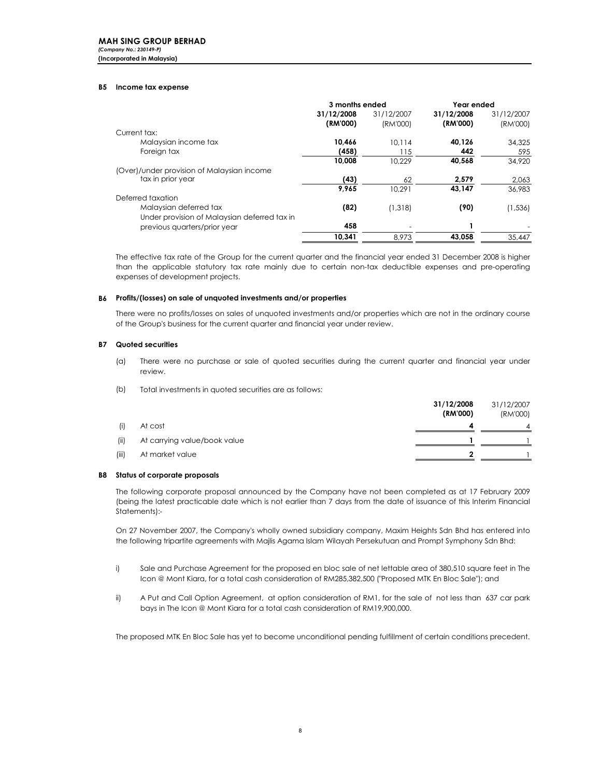(Incorporated in Malaysia)

### B5 Income tax expense

|                                              | 3 months ended |            | Year ended |            |
|----------------------------------------------|----------------|------------|------------|------------|
|                                              | 31/12/2008     | 31/12/2007 | 31/12/2008 | 31/12/2007 |
| Current tax:                                 | (RM'000)       | (RM'000)   | (RM'000)   | (RM'000)   |
|                                              |                |            |            |            |
| Malaysian income tax                         | 10.466         | 10.114     | 40.126     | 34.325     |
| Foreign tax                                  | (458)          | 115        | 442        | 595        |
|                                              | 10.008         | 10.229     | 40.568     | 34,920     |
| (Over)/under provision of Malaysian income   |                |            |            |            |
| tax in prior year                            | (43)           | 62         | 2,579      | 2,063      |
|                                              | 9,965          | 10.291     | 43,147     | 36.983     |
| Deferred taxation                            |                |            |            |            |
| Malaysian deferred tax                       | (82)           | (1, 318)   | (90)       | (1, 536)   |
| Under provision of Malaysian deferred tax in |                |            |            |            |
| previous quarters/prior year                 | 458            |            |            |            |
|                                              | 10.341         | 8.973      | 43.058     | 35.447     |

The effective tax rate of the Group for the current quarter and the financial year ended 31 December 2008 is higher than the applicable statutory tax rate mainly due to certain non-tax deductible expenses and pre-operating expenses of development projects.

### B6 Profits/(losses) on sale of unquoted investments and/or properties

There were no profits/losses on sales of unquoted investments and/or properties which are not in the ordinary course of the Group's business for the current quarter and financial year under review.

### B7 Quoted securities

- (a) There were no purchase or sale of quoted securities during the current quarter and financial year under review.
- (b) Total investments in quoted securities are as follows:

|       |                              | 31/12/2008<br>(RM'000) | 31/12/2007<br>(RM'000) |
|-------|------------------------------|------------------------|------------------------|
| (i)   | At cost                      |                        | $\overline{4}$         |
| (ii)  | At carrying value/book value |                        |                        |
| (iii) | At market value              |                        |                        |

### B8 Status of corporate proposals

The following corporate proposal announced by the Company have not been completed as at 17 February 2009 (being the latest practicable date which is not earlier than 7 days from the date of issuance of this Interim Financial Statements):-

On 27 November 2007, the Company's wholly owned subsidiary company, Maxim Heights Sdn Bhd has entered into the following tripartite agreements with Majlis Agama Islam Wilayah Persekutuan and Prompt Symphony Sdn Bhd:

- i) Sale and Purchase Agreement for the proposed en bloc sale of net lettable area of 380,510 square feet in The Icon @ Mont Kiara, for a total cash consideration of RM285,382,500 ("Proposed MTK En Bloc Sale"); and
- ii) A Put and Call Option Agreement, at option consideration of RM1, for the sale of not less than 637 car park bays in The Icon @ Mont Kiara for a total cash consideration of RM19,900,000.

The proposed MTK En Bloc Sale has yet to become unconditional pending fulfillment of certain conditions precedent.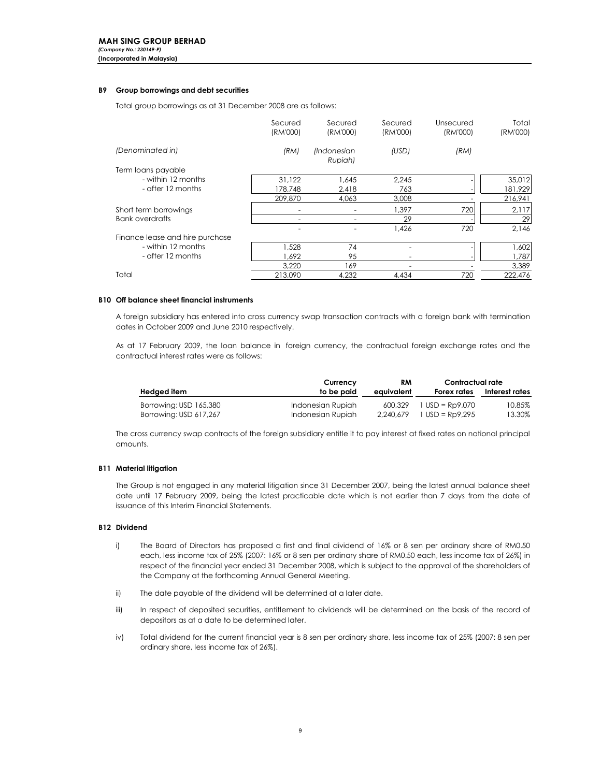### B9 Group borrowings and debt securities

Total group borrowings as at 31 December 2008 are as follows:

|                                 | Secured<br>(RM'000) | Secured<br>(RM'000)    | Secured<br>(RM'000) | Unsecured<br>(RM'000) | Total<br>(RM'000) |
|---------------------------------|---------------------|------------------------|---------------------|-----------------------|-------------------|
| (Denominated in)                | (RM)                | (Indonesian<br>Rupiah) | (USD)               | (RM)                  |                   |
| Term loans payable              |                     |                        |                     |                       |                   |
| - within 12 months              | 31.122              | 1.645                  | 2.245               |                       | 35.012            |
| - after 12 months               | 178,748             | 2,418                  | 763                 |                       | 181,929           |
|                                 | 209,870             | 4,063                  | 3,008               |                       | 216,941           |
| Short term borrowings           |                     |                        | 1,397               | 720                   | 2,117             |
| <b>Bank overdrafts</b>          |                     |                        | 29                  |                       | 29                |
|                                 |                     |                        | 1,426               | 720                   | 2,146             |
| Finance lease and hire purchase |                     |                        |                     |                       |                   |
| - within 12 months              | 1,528               | 74                     |                     |                       | 1,602             |
| - after 12 months               | 1.692               | 95                     |                     |                       | 1,787             |
|                                 | 3.220               | 169                    |                     |                       | 3,389             |
| Total                           | 213.090             | 4.232                  | 4.434               | 720                   | 222,476           |

### B10 Off balance sheet financial instruments

A foreign subsidiary has entered into cross currency swap transaction contracts with a foreign bank with termination dates in October 2009 and June 2010 respectively.

As at 17 February 2009, the loan balance in foreign currency, the contractual foreign exchange rates and the contractual interest rates were as follows:

|                                                  | Currency                               | RM                   | Contractual rate                     |                  |
|--------------------------------------------------|----------------------------------------|----------------------|--------------------------------------|------------------|
| Hedged i <del>l</del> em                         | to be paid                             | eauivalent           | Forex rates                          | Interest rates   |
| Borrowing: USD 165,380<br>Borrowing: USD 617,267 | Indonesian Rupiah<br>Indonesian Rupiah | 600.329<br>2.240.679 | $USD = Rp9.070$<br>$1$ USD = Rp9.295 | 10.85%<br>13.30% |

The cross currency swap contracts of the foreign subsidiary entitle it to pay interest at fixed rates on notional principal amounts.

### B11 Material litigation

The Group is not engaged in any material litigation since 31 December 2007, being the latest annual balance sheet date until 17 February 2009, being the latest practicable date which is not earlier than 7 days from the date of issuance of this Interim Financial Statements.

### B12 Dividend

- i) The Board of Directors has proposed a first and final dividend of 16% or 8 sen per ordinary share of RM0.50 each, less income tax of 25% (2007: 16% or 8 sen per ordinary share of RM0.50 each, less income tax of 26%) in respect of the financial year ended 31 December 2008, which is subject to the approval of the shareholders of the Company at the forthcoming Annual General Meeting.
- ii) The date payable of the dividend will be determined at a later date.
- iii) In respect of deposited securities, entitlement to dividends will be determined on the basis of the record of depositors as at a date to be determined later.
- iv) Total dividend for the current financial year is 8 sen per ordinary share, less income tax of 25% (2007: 8 sen per ordinary share, less income tax of 26%).